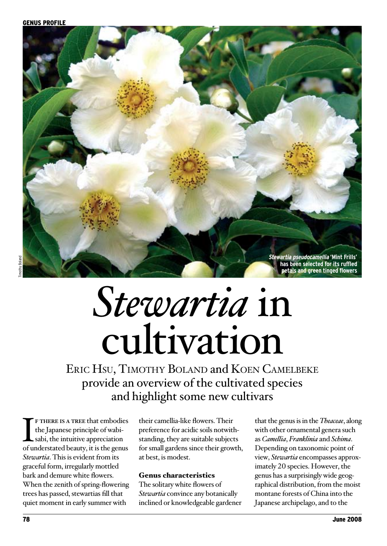

# *Stewartia* in cultivation

Eric Hsu, Timothy Boland and Koen Camelbeke provide an overview of the cultivated species and highlight some new cultivars

**T** F THERE IS A TREE that embodies<br>the Japanese principle of wabi-<br>sabi, the intuitive appreciation<br>of understated beauty, it is the genus **f there is a tree** that embodies the Japanese principle of wabisabi, the intuitive appreciation *Stewartia*. This is evident from its graceful form, irregularly mottled bark and demure white flowers. When the zenith of spring-flowering trees has passed, stewartias fill that quiet moment in early summer with

their camellia-like flowers. Their preference for acidic soils notwithstanding, they are suitable subjects for small gardens since their growth, at best, is modest.

# Genus characteristics

The solitary white flowers of *Stewartia* convince any botanically inclined or knowledgeable gardener

that the genus is in the *Theaceae*, along with other ornamental genera such as *Camellia*, *Franklinia* and *Schima*. Depending on taxonomic point of view, *Stewartia* encompasses approximately 20 species. However, the genus has a surprisingly wide geographical distribution, from the moist montane forests of China into the Japanese archipelago, and to the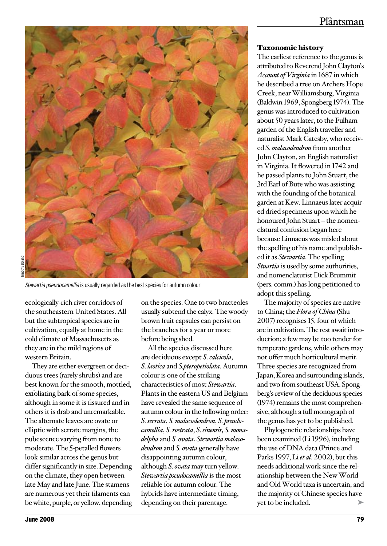# $Pl<sup>n<sub>k</sub></sup>$ ntsman



Stewartia pseudocamellia is usually regarded as the best species for autumn colour

ecologically-rich river corridors of the southeastern United States. All but the subtropical species are in cultivation, equally at home in the cold climate of Massachusetts as they are in the mild regions of western Britain.

They are either evergreen or deciduous trees (rarely shrubs) and are best known for the smooth, mottled, exfoliating bark of some species, although in some it is fissured and in others it is drab and unremarkable. The alternate leaves are ovate or elliptic with serrate margins, the pubescence varying from none to moderate. The 5-petalled flowers look similar across the genus but differ significantly in size. Depending on the climate, they open between late May and late June. The stamens are numerous yet their filaments can be white, purple, or yellow, depending on the species. One to two bracteoles usually subtend the calyx. The woody brown fruit capsules can persist on the branches for a year or more before being shed.

All the species discussed here are deciduous except *S. calcicola*, *S. laotica* and *S.pteropetiolata*. Autumn colour is one of the striking characteristics of most *Stewartia*. Plants in the eastern US and Belgium have revealed the same sequence of autumn colour in the following order: *S. serrata*, *S. malacodendron*, *S. pseudocamellia*, *S. rostrata*, *S. sinensis*, *S. monadelpha* and *S. ovata*. *Stewartia malacodendron* and *S. ovata* generally have disappointing autumn colour, although *S. ovata* may turn yellow. *Stewartia pseudocamellia* is the most reliable for autumn colour. The hybrids have intermediate timing, depending on their parentage.

#### Taxonomic history

The earliest reference to the genus is attributed to Reverend John Clayton's *Account of Virginia* in 1687 in which he described a tree on Archers Hope Creek, near Williamsburg, Virginia (Baldwin 1969, Spongberg 1974). The genus was introduced to cultivation about 50 years later, to the Fulham garden of the English traveller and naturalist Mark Catesby, who received *S. malacodendron* from another John Clayton, an English naturalist in Virginia. It flowered in 1742 and he passed plants to John Stuart, the 3rd Earl of Bute who was assisting with the founding of the botanical garden at Kew. Linnaeus later acquired dried specimens upon which he honoured John Stuart – the nomenclatural confusion began here because Linnaeus was misled about the spelling of his name and published it as *Stewartia*. The spelling *Stuartia* is used by some authorities, and nomenclaturist Dick Brummit (pers. comm.) has long petitioned to adopt this spelling.

The majority of species are native to China; the *Flora of China* (Shu 2007) recognises 15, four of which are in cultivation. The rest await introduction; a few may be too tender for temperate gardens, while others may not offer much horticultural merit. Three species are recognized from Japan, Korea and surrounding islands, and two from southeast USA. Spongberg's review of the deciduous species (1974) remains the most comprehensive, although a full monograph of the genus has yet to be published.

Phylogenetic relationships have been examined (Li 1996), including the use of DNA data (Prince and Parks 1997, Li *et al*. 2002), but this needs additional work since the relationship between the New World and Old World taxa is uncertain, and the majority of Chinese species have yet to be included. ➤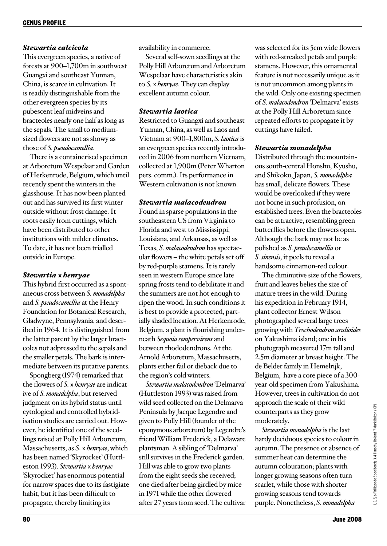# *Stewartia calcicola*

This evergreen species, a native of forests at 900–1,700m in southwest Guangxi and southeast Yunnan, China, is scarce in cultivation. It is readily distinguishable from the other evergreen species by its pubescent leaf midveins and bracteoles nearly one half as long as the sepals. The small to mediumsized flowers are not as showy as those of *S. pseudocamellia*.

There is a containerised specimen at Arboretum Wespelaar and Garden of Herkenrode, Belgium, which until recently spent the winters in the glasshouse. It has now been planted out and has survived its first winter outside without frost damage. It roots easily from cuttings, which have been distributed to other institutions with milder climates. To date, it has not been trialled outside in Europe.

# *Stewartia* **x** *henryae*

This hybrid first occurred as a spontaneous cross between *S. monadelpha* and *S. pseudocamellia* at the Henry Foundation for Botanical Research, Gladwyne, Pennsylvania, and described in 1964. It is distinguished from the latter parent by the larger bracteoles not adpressed to the sepals and the smaller petals. The bark is intermediate between its putative parents.

Spongberg (1974) remarked that the flowers of *S.* x *henryae* are indicative of *S. monadelpha*, but reserved judgment on its hybrid status until cytological and controlled hybridisation studies are carried out. However, he identified one of the seedlings raised at Polly Hill Arboretum, Massachusetts, as *S*. x *henryae*, which has been named 'Skyrocket' (Huttleston 1993). *Stewartia* x *henryae* 'Skyrocket' has enormous potential for narrow spaces due to its fastigiate habit, but it has been difficult to propagate, thereby limiting its

availability in commerce.

Several self-sown seedlings at the Polly Hill Arboretum and Arboretum Wespelaar have characteristics akin to *S.* x *henryae*. They can display excellent autumn colour.

# *Stewartia laotica*

Restricted to Guangxi and southeast Yunnan, China, as well as Laos and Vietnam at 900–1,800m, *S. laotica* is an evergreen species recently introduced in 2006 from northern Vietnam, collected at 1,900m (Peter Wharton pers. comm.). Its performance in Western cultivation is not known.

# *Stewartia malacodendron*

Found in sparse populations in the southeastern US from Virginia to Florida and west to Mississippi, Louisiana, and Arkansas, as well as Texas, *S. malacodendron* has spectacular flowers – the white petals set off by red-purple stamens. It is rarely seen in western Europe since late spring frosts tend to debilitate it and the summers are not hot enough to ripen the wood. In such conditions it is best to provide a protected, partially shaded location. At Herkenrode, Belgium, a plant is flourishing underneath *Sequoia sempervirens* and between rhododendrons. At the Arnold Arboretum, Massachusetts, plants either fail or dieback due to the region's cold winters.

*Stewartia malacodendron* 'Delmarva' (Huttleston 1993) was raised from wild seed collected on the Delmarva Peninsula by Jacque Legendre and given to Polly Hill (founder of the eponymous arboretum) by Legendre's friend William Frederick, a Delaware plantsman. A sibling of 'Delmarva' still survives in the Frederick garden. Hill was able to grow two plants from the eight seeds she received; one died after being girdled by mice in 1971 while the other flowered after 27 years from seed. The cultivar

was selected for its 5cm wide flowers with red-streaked petals and purple stamens. However, this ornamental feature is not necessarily unique as it is not uncommon among plants in the wild. Only one existing specimen of *S. malacodendron* 'Delmarva' exists at the Polly Hill Arboretum since repeated efforts to propagate it by cuttings have failed.

# *Stewartia monadelpha*

Distributed through the mountainous south-central Honshu, Kyushu, and Shikoku, Japan, *S. monadelpha* has small, delicate flowers. These would be overlooked if they were not borne in such profusion, on established trees. Even the bracteoles can be attractive, resembling green butterflies before the flowers open. Although the bark may not be as polished as *S. pseudocamellia* or *S. sinensis*, it peels to reveal a handsome cinnamon-red colour.

The diminutive size of the flowers, fruit and leaves belies the size of mature trees in the wild. During his expedition in February 1914, plant collector Ernest Wilson photographed several large trees growing with *Trochodendron aralioides* on Yakushima island; one in his photograph measured 17m tall and 2.5m diameter at breast height. The de Belder family in Hemelrijk, Belgium, have a core piece of a 300 year-old specimen from Yakushima. However, trees in cultivation do not approach the scale of their wild counterparts as they grow moderately.

*Stewartia monadelpha* is the last hardy deciduous species to colour in autumn. The presence or absence of summer heat can determine the autumn colouration; plants with longer growing seasons often turn scarlet, while those with shorter growing seasons tend towards purple. Nonetheless, *S. monadelpha*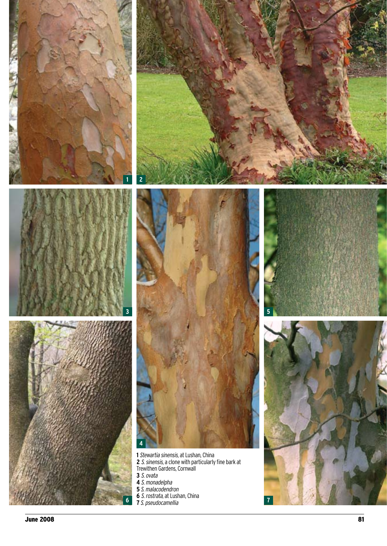









Stewartia sinensis, at Lushan, China S. sinensis, a clone with particularly fine bark at Trewithen Gardens, Cornwall S. ovata S. monadelpha

- S. malacodendron
- S. rostrata, at Lushan, China
- S. pseudocamellia



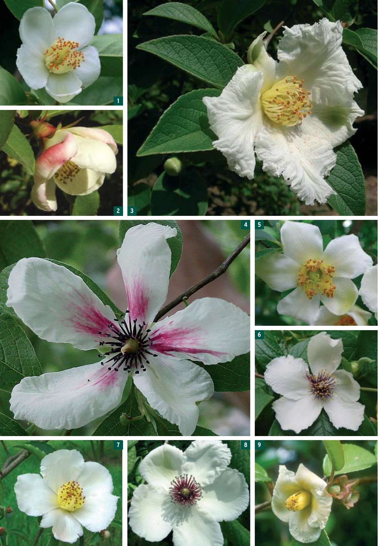















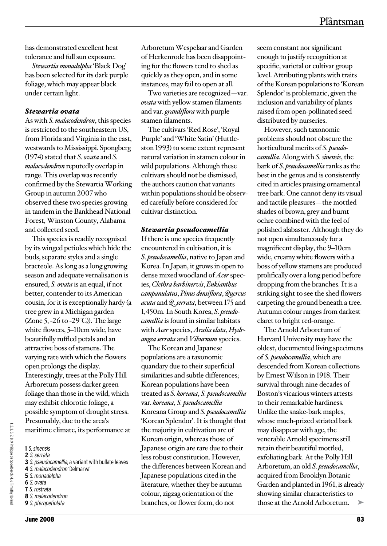has demonstrated excellent heat tolerance and full sun exposure.

*Stewartia monadelpha* 'Black Dog' has been selected for its dark purple foliage, which may appear black under certain light.

#### *Stewartia ovata*

As with *S. malacodendron*, this species is restricted to the southeastern US, from Florida and Virginia in the east, westwards to Mississippi. Spongberg (1974) stated that *S. ovata* and *S. malacodendron* reputedly overlap in range. This overlap was recently confirmed by the Stewartia Working Group in autumn 2007 who observed these two species growing in tandem in the Bankhead National Forest, Winston County, Alabama and collected seed.

This species is readily recognised by its winged petioles which hide the buds, separate styles and a single bracteole. As long as a long growing season and adequate vernalisation is ensured, *S. ovata* is an equal, if not better, contender to its American cousin, for it is exceptionally hardy (a tree grew in a Michigan garden (Zone 5, -26 to -29°C)). The large white flowers, 5–10cm wide, have beautifully ruffled petals and an attractive boss of stamens. The varying rate with which the flowers open prolongs the display. Interestingly, trees at the Polly Hill Arboretum possess darker green foliage than those in the wild, which may exhibit chlorotic foliage, a possible symptom of drought stress. Presumably, due to the area's maritime climate, its performance at

**2** S. serrata **3** S. pseudocamellia, a variant with bullate leaves

**1** S. sinensis

- **4** S. malacodendron 'Delmarva'
- **5** S. monadelpha
- **6** S. ovata
- **7** S. rostrata
- **8** S. malacodendron
- **9** S. pteropetiolata

Arboretum Wespelaar and Garden of Herkenrode has been disappointing for the flowers tend to shed as quickly as they open, and in some instances, may fail to open at all.

Two varieties are recognized—var. *ovata* with yellow stamen filaments and var. *grandiflora* with purple stamen filaments.

The cultivars 'Red Rose', 'Royal Purple' and 'White Satin' (Huttleston 1993) to some extent represent natural variation in stamen colour in wild populations. Although these cultivars should not be dismissed, the authors caution that variants within populations should be observed carefully before considered for cultivar distinction.

#### *Stewartia pseudocamellia*

If there is one species frequently encountered in cultivation, it is *S. pseudocamellia*, native to Japan and Korea. In Japan, it grows in open to dense mixed woodland of *Acer* species, *Clethra barbinervis*, *Enkianthus campanulatus*, *Pinus densiflora*, *Quercus acuta* and *Q. serrata*, between 175 and 1,450m. In South Korea, *S. pseudocamellia* is found in similar habitats with *Acer* species, *Aralia elata*, *Hydrangea serrata* and *Viburnum* species.

The Korean and Japanese populations are a taxonomic quandary due to their superficial similarities and subtle differences; Korean populations have been treated as *S. koreana*, *S. pseudocamellia* var. *koreana*, *S. pseudocamellia* Koreana Group and *S. pseudocamellia* 'Korean Splendor'. It is thought that the majority in cultivation are of Korean origin, whereas those of Japanese origin are rare due to their less robust constitution. However, the differences between Korean and Japanese populations cited in the literature, whether they be autumn colour, zigzag orientation of the branches, or flower form, do not

seem constant nor significant enough to justify recognition at specific, varietal or cultivar group level. Attributing plants with traits of the Korean populations to 'Korean Splendor' is problematic, given the inclusion and variability of plants raised from open-pollinated seed distributed by nurseries.

However, such taxonomic problems should not obscure the horticultural merits of *S. pseudocamellia*. Along with *S. sinensis*, the bark of *S. pseudocamellia* ranks as the best in the genus and is consistently cited in articles praising ornamental tree bark. One cannot deny its visual and tactile pleasures—the mottled shades of brown, grey and burnt ochre combined with the feel of polished alabaster. Although they do not open simultaneously for a magnificent display, the 9–10cm wide, creamy white flowers with a boss of yellow stamens are produced prolifically over a long period before dropping from the branches. It is a striking sight to see the shed flowers carpeting the ground beneath a tree. Autumn colour ranges from darkest claret to bright red-orange.

The Arnold Arboretum of Harvard University may have the oldest, documented living specimens of *S. pseudocamellia*, which are descended from Korean collections by Ernest Wilson in 1918. Their survival through nine decades of Boston's vicarious winters attests to their remarkable hardiness. Unlike the snake-bark maples, whose much-prized striated bark may disappear with age, the venerable Arnold specimens still retain their beautiful mottled, exfoliating bark. At the Polly Hill Arboretum, an old *S. pseudocamellia*, acquired from Brooklyn Botanic Garden and planted in 1961, is already showing similar characteristics to those at the Arnold Arboretum. ➤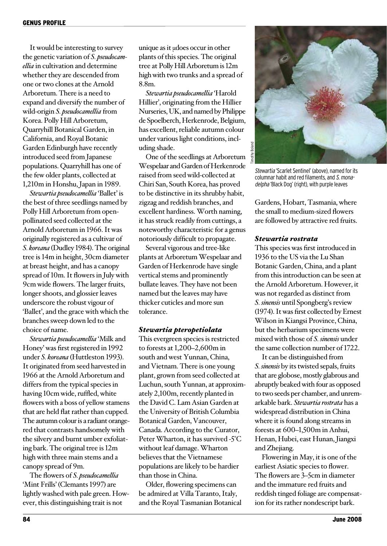It would be interesting to survey the genetic variation of *S. pseudocamellia* in cultivation and determine whether they are descended from one or two clones at the Arnold Arboretum. There is a need to expand and diversify the number of wild-origin *S. pseudocamellia* from Korea. Polly Hill Arboretum, Quarryhill Botanical Garden, in California, and Royal Botanic Garden Edinburgh have recently introduced seed from Japanese populations. Quarryhill has one of the few older plants, collected at 1,210m in Honshu, Japan in 1989.

*Stewartia pseudocamellia* 'Ballet' is the best of three seedlings named by Polly Hill Arboretum from openpollinated seed collected at the Arnold Arboretum in 1966. It was originally registered as a cultivar of *S. koreana* (Dudley 1984). The original tree is 14m in height, 30cm diameter at breast height, and has a canopy spread of 10m. It flowers in July with 9cm wide flowers. The larger fruits, longer shoots, and glossier leaves underscore the robust vigour of 'Ballet', and the grace with which the branches sweep down led to the choice of name.

*Stewartia pseudocamellia* 'Milk and Honey' was first registered in 1992 under *S. koreana* (Huttleston 1993). It originated from seed harvested in 1966 at the Arnold Arboretum and differs from the typical species in having 10cm wide, ruffled, white flowers with a boss of yellow stamens that are held flat rather than cupped. The autumn colour is a radiant orangered that contrasts handsomely with the silvery and burnt umber exfoliating bark. The original tree is 12m high with three main stems and a canopy spread of 9m.

The flowers of *S. pseudocamellia*  'Mint Frills' (Clemants 1997) are lightly washed with pale green. However, this distinguishing trait is not

unique as it μdoes occur in other plants of this species. The original tree at Polly Hill Arboretum is 12m high with two trunks and a spread of 8.8m.

*Stewartia pseudocamellia* 'Harold Hillier', originating from the Hillier Nurseries, UK, and named by Philippe de Spoelberch, Herkenrode, Belgium, has excellent, reliable autumn colour under various light conditions, including shade.

One of the seedlings at Arboretum Wespelaar and Garden of Herkenrode raised from seed wild-collected at Chiri San, South Korea, has proved to be distinctive in its shrubby habit, zigzag and reddish branches, and excellent hardiness. Worth naming, it has struck readily from cuttings, a noteworthy characteristic for a genus notoriously difficult to propagate.

Several vigorous and tree-like plants at Arboretum Wespelaar and Garden of Herkenrode have single vertical stems and prominently bullate leaves. They have not been named but the leaves may have thicker cuticles and more sun tolerance.

#### *Stewartia pteropetiolata*

This evergreen species is restricted to forests at 1,200–2,600m in south and west Yunnan, China, and Vietnam. There is one young plant, grown from seed collected at Luchun, south Yunnan, at approximately 2,100m, recently planted in the David C. Lam Asian Garden at the University of British Columbia Botanical Garden, Vancouver, Canada. According to the Curator, Peter Wharton, it has survived -5°C without leaf damage. Wharton believes that the Vietnamese populations are likely to be hardier than those in China.

Older, flowering specimens can be admired at Villa Taranto, Italy, and the Royal Tasmanian Botanical



Stewartia 'Scarlet Sentinel' (above), named for its columnar habit and red filaments, and S. monadelpha 'Black Dog' (right), with purple leaves

Gardens, Hobart, Tasmania, where the small to medium-sized flowers are followed by attractive red fruits.

#### *Stewartia rostrata*

This species was first introduced in 1936 to the US via the Lu Shan Botanic Garden, China, and a plant from this introduction can be seen at the Arnold Arboretum. However, it was not regarded as distinct from *S. sinensis* until Spongberg's review (1974). It was first collected by Ernest Wilson in Kiangsi Province, China, but the herbarium specimens were mixed with those of *S. sinensis* under the same collection number of 1722.

It can be distinguished from *S. sinensis* by its twisted sepals, fruits that are globose, mostly glabrous and abruptly beaked with four as opposed to two seeds per chamber, and unremarkable bark. *Stewartia rostrata* has a widespread distribution in China where it is found along streams in forests at 600–1,500m in Anhui, Henan, Hubei, east Hunan, Jiangxi and Zhejiang.

Flowering in May, it is one of the earliest Asiatic species to flower. The flowers are 3–5cm in diameter and the immature red fruits and reddish tinged foliage are compensation for its rather nondescript bark.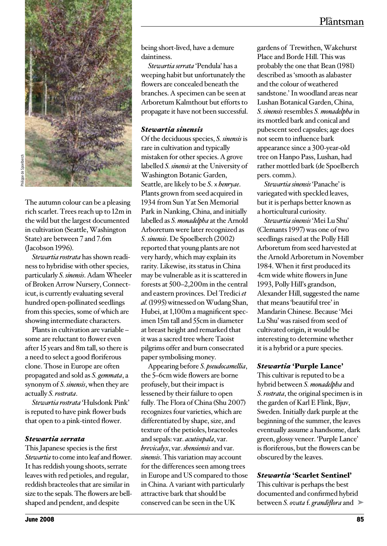

The autumn colour can be a pleasing rich scarlet. Trees reach up to 12m in the wild but the largest documented in cultivation (Seattle, Washington State) are between 7 and 7.6m (Jacobson 1996).

*Stewartia rostrata* has shown readiness to hybridise with other species, particularly *S. sinensis*. Adam Wheeler of Broken Arrow Nursery, Connecticut, is currently evaluating several hundred open-pollinated seedlings from this species, some of which are showing intermediate characters.

Plants in cultivation are variable – some are reluctant to flower even after 15 years and 8m tall, so there is a need to select a good floriferous clone. Those in Europe are often propagated and sold as *S. gemmata*, a synonym of *S. sinensis*, when they are actually *S. rostrata*.

*Stewartia rostrata* 'Hulsdonk Pink' is reputed to have pink flower buds that open to a pink-tinted flower.

#### *Stewartia serrata*

This Japanese species is the first *Stewartia* to come into leaf and flower. It has reddish young shoots, serrate leaves with red petioles, and regular, reddish bracteoles that are similar in size to the sepals. The flowers are bellshaped and pendent, and despite

being short-lived, have a demure daintiness.

*Stewartia serrata* 'Pendula' has a weeping habit but unfortunately the flowers are concealed beneath the branches. A specimen can be seen at Arboretum Kalmthout but efforts to propagate it have not been successful.

#### *Stewartia sinensis*

Of the deciduous species, *S. sinensis* is rare in cultivation and typically mistaken for other species. A grove labelled *S. sinensis* at the University of Washington Botanic Garden, Seattle, are likely to be *S*. x *henryae*. Plants grown from seed acquired in 1934 from Sun Yat Sen Memorial Park in Nanking, China, and initially labelled as *S. monadelpha* at the Arnold Arboretum were later recognized as *S. sinensis*. De Spoelberch (2002) reported that young plants are not very hardy, which may explain its rarity. Likewise, its status in China may be vulnerable as it is scattered in forests at 500–2,200m in the central and eastern provinces. Del Tredici *et al.* (1995) witnessed on Wudang Shan, Hubei, at 1,100m a magnificent specimen 15m tall and 55cm in diameter at breast height and remarked that it was a sacred tree where Taoist pilgrims offer and burn consecrated paper symbolising money.

Appearing before *S. pseudocamellia*, the 5–6cm wide flowers are borne profusely, but their impact is lessened by their failure to open fully. The Flora of China (Shu 2007) recognizes four varieties, which are differentiated by shape, size, and texture of the petioles, bracteoles and sepals: var. *acutisepala*, var. *brevicalyx*, var. *shensiensis* and var. *sinensis*. This variation may account for the differences seen among trees in Europe and US compared to those in China. A variant with particularly attractive bark that should be conserved can be seen in the UK

gardens of Trewithen, Wakehurst Place and Borde Hill. This was probably the one that Bean (1981) described as 'smooth as alabaster and the colour of weathered sandstone.' In woodland areas near Lushan Botanical Garden, China, *S. sinensis* resembles *S. monadelpha* in its mottled bark and conical and pubescent seed capsules; age does not seem to influence bark appearance since a 300-year-old tree on Hanpo Pass, Lushan, had rather mottled bark (de Spoelberch pers. comm.).

*Stewartia sinensis* 'Panache' is variegated with speckled leaves, but it is perhaps better known as a horticultural curiosity.

*Stewartia sinensis* 'Mei Lu Shu' (Clemants 1997) was one of two seedlings raised at the Polly Hill Arboretum from seed harvested at the Arnold Arboretum in November 1984. When it first produced its 4cm wide white flowers in June 1993, Polly Hill's grandson, Alexander Hill, suggested the name that means 'beautiful tree' in Mandarin Chinese. Because 'Mei Lu Shu' was raised from seed of cultivated origin, it would be interesting to determine whether it is a hybrid or a pure species.

#### *Stewartia* 'Purple Lance'

This cultivar is reputed to be a hybrid between *S. monadelpha* and *S. rostrata*, the original specimen is in the garden of Karl E Flink, Bjuv, Sweden. Initially dark purple at the beginning of the summer, the leaves eventually assume a handsome, dark green, glossy veneer. 'Purple Lance' is floriferous, but the flowers can be obscured by the leaves.

# *Stewartia* 'Scarlet Sentinel'

This cultivar is perhaps the best documented and confirmed hybrid between *S. ovata* f. *grandiflora* and ➤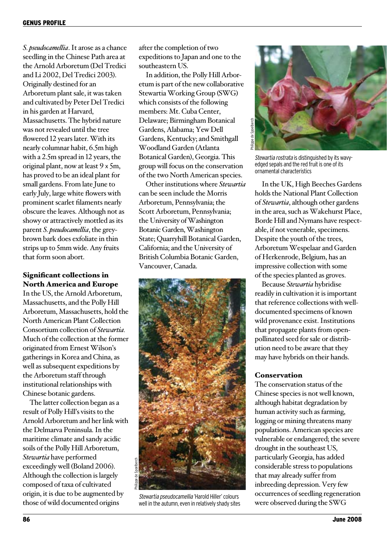*S. pseudocamellia*. It arose as a chance seedling in the Chinese Path area at the Arnold Arboretum (Del Tredici and Li 2002, Del Tredici 2003). Originally destined for an Arboretum plant sale, it was taken and cultivated by Peter Del Tredici in his garden at Harvard, Massachusetts. The hybrid nature was not revealed until the tree flowered 12 years later. With its nearly columnar habit, 6.5m high with a 2.5m spread in 12 years, the original plant, now at least 9 x 5m, has proved to be an ideal plant for small gardens. From late June to early July, large white flowers with prominent scarlet filaments nearly obscure the leaves. Although not as showy or attractively mottled as its parent *S. pseudocamellia*, the greybrown bark does exfoliate in thin strips up to 5mm wide. Any fruits that form soon abort.

# Significant collections in North America and Europe

In the US, the Arnold Arboretum, Massachusetts, and the Polly Hill Arboretum, Massachusetts, hold the North American Plant Collection Consortium collection of *Stewartia.* Much of the collection at the former originated from Ernest Wilson's gatherings in Korea and China, as well as subsequent expeditions by the Arboretum staff through institutional relationships with Chinese botanic gardens.

The latter collection began as a result of Polly Hill's visits to the Arnold Arboretum and her link with the Delmarva Peninsula. In the maritime climate and sandy acidic soils of the Polly Hill Arboretum, *Stewartia* have performed exceedingly well (Boland 2006). Although the collection is largely composed of taxa of cultivated origin, it is due to be augmented by those of wild documented origins

after the completion of two expeditions to Japan and one to the southeastern US.

In addition, the Polly Hill Arboretum is part of the new collaborative Stewartia Working Group (SWG) which consists of the following members: Mt. Cuba Center, Delaware; Birmingham Botanical Gardens, Alabama; Yew Dell Gardens, Kentucky; and Smithgall Woodland Garden (Atlanta Botanical Garden), Georgia. This group will focus on the conservation of the two North American species.

Other institutions where *Stewartia* can be seen include the Morris Arboretum, Pennsylvania; the Scott Arboretum, Pennsylvania; the University of Washington Botanic Garden, Washington State; Quarryhill Botanical Garden, California; and the University of British Columbia Botanic Garden, Vancouver, Canada.



Stewartia pseudocamellia 'Harold Hiller' colours well in the autumn, even in relatively shady sites



Stewartia rostrata is distinguished by its wavyedged sepals and the red fruit is one of its ornamental characteristics

In the UK, High Beeches Gardens holds the National Plant Collection of *Stewartia*, although other gardens in the area, such as Wakehurst Place, Borde Hill and Nymans have respectable, if not venerable, specimens. Despite the youth of the trees, Arboretum Wespelaar and Garden of Herkenrode, Belgium, has an impressive collection with some of the species planted as groves.

Because *Stewartia* hybridise readily in cultivation it is important that reference collections with welldocumented specimens of known wild provenance exist. Institutions that propagate plants from openpollinated seed for sale or distribution need to be aware that they may have hybrids on their hands.

#### Conservation

The conservation status of the Chinese species is not well known, although habitat degradation by human activity such as farming, logging or mining threatens many populations. American species are vulnerable or endangered; the severe drought in the southeast US, particularly Georgia, has added considerable stress to populations that may already suffer from inbreeding depression. Very few occurrences of seedling regeneration were observed during the SWG